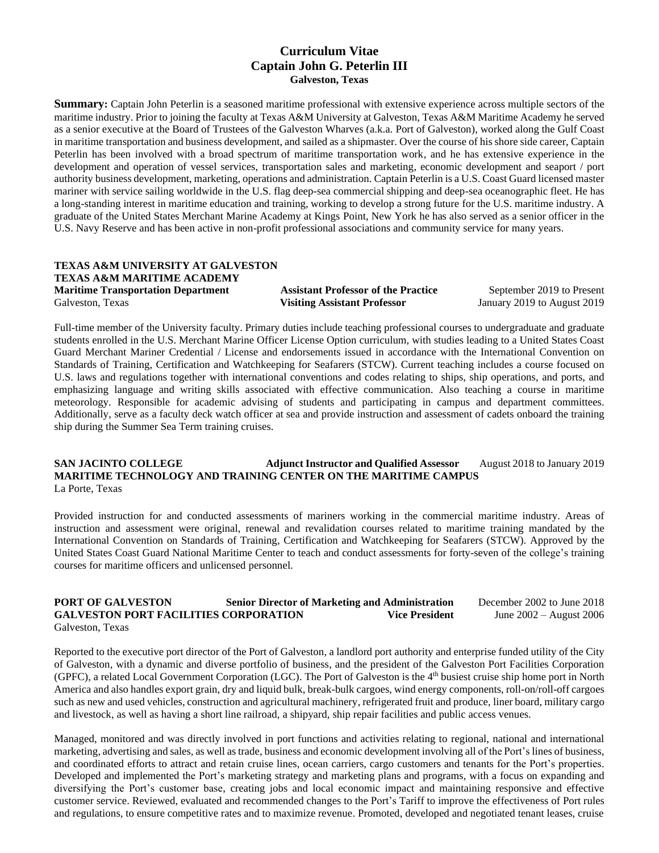## **Curriculum Vitae Captain John G. Peterlin III Galveston, Texas**

**Summary:** Captain John Peterlin is a seasoned maritime professional with extensive experience across multiple sectors of the maritime industry. Prior to joining the faculty at Texas A&M University at Galveston, Texas A&M Maritime Academy he served as a senior executive at the Board of Trustees of the Galveston Wharves (a.k.a. Port of Galveston), worked along the Gulf Coast in maritime transportation and business development, and sailed as a shipmaster. Over the course of his shore side career, Captain Peterlin has been involved with a broad spectrum of maritime transportation work, and he has extensive experience in the development and operation of vessel services, transportation sales and marketing, economic development and seaport / port authority business development, marketing, operations and administration. Captain Peterlin is a U.S. Coast Guard licensed master mariner with service sailing worldwide in the U.S. flag deep-sea commercial shipping and deep-sea oceanographic fleet. He has a long-standing interest in maritime education and training, working to develop a strong future for the U.S. maritime industry. A graduate of the United States Merchant Marine Academy at Kings Point, New York he has also served as a senior officer in the U.S. Navy Reserve and has been active in non-profit professional associations and community service for many years.

# **TEXAS A&M UNIVERSITY AT GALVESTON TEXAS A&M MARITIME ACADEMY Maritime Transportation Department 12.1 Assistant Professor of the Practice 5 September 2019 to Present**

Galveston, Texas **Visiting Assistant Professor** January 2019 to August 2019

Full-time member of the University faculty. Primary duties include teaching professional courses to undergraduate and graduate students enrolled in the U.S. Merchant Marine Officer License Option curriculum, with studies leading to a United States Coast Guard Merchant Mariner Credential / License and endorsements issued in accordance with the International Convention on Standards of Training, Certification and Watchkeeping for Seafarers (STCW). Current teaching includes a course focused on U.S. laws and regulations together with international conventions and codes relating to ships, ship operations, and ports, and emphasizing language and writing skills associated with effective communication. Also teaching a course in maritime meteorology. Responsible for academic advising of students and participating in campus and department committees. Additionally, serve as a faculty deck watch officer at sea and provide instruction and assessment of cadets onboard the training ship during the Summer Sea Term training cruises.

#### **SAN JACINTO COLLEGE Adjunct Instructor and Qualified Assessor** August 2018 to January 2019 **MARITIME TECHNOLOGY AND TRAINING CENTER ON THE MARITIME CAMPUS** La Porte, Texa[s](https://www.linkedin.com/search/results/index/?keywords=San%20Jacinto%20College%20-%20Maritime%20Technology%20and%20Training%20Center%20on%20the%20Maritime%20Campus&lipi=urn%3Ali%3Apage%3Ad_flagship3_profile_view_base%3BLIUBwAHFSrWdSqqDYy568g%3D%3D&licu=urn%3Ali%3Acontrol%3Ad_flagship3_profile_view_base-background_details_company)

Provided instruction for and conducted assessments of mariners working in the commercial maritime industry. Areas of instruction and assessment were original, renewal and revalidation courses related to maritime training mandated by the International Convention on Standards of Training, Certification and Watchkeeping for Seafarers (STCW). Approved by the United States Coast Guard National Maritime Center to teach and conduct assessments for forty-seven of the college's training courses for maritime officers and unlicensed personnel.

# **PORT OF GALVESTON Senior Director of Marketing and Administration** December 2002 to June 2018 **GALVESTON PORT FACILITIES CORPORATION Vice President** June 2002 – August 2006

Galveston, Texas

Reported to the executive port director of the Port of Galveston, a landlord port authority and enterprise funded utility of the City of Galveston, with a dynamic and diverse portfolio of business, and the president of the Galveston Port Facilities Corporation (GPFC), a related Local Government Corporation (LGC). The Port of Galveston is the  $4<sup>th</sup>$  busiest cruise ship home port in North America and also handles export grain, dry and liquid bulk, break-bulk cargoes, wind energy components, roll-on/roll-off cargoes such as new and used vehicles, construction and agricultural machinery, refrigerated fruit and produce, liner board, military cargo and livestock, as well as having a short line railroad, a shipyard, ship repair facilities and public access venues.

Managed, monitored and was directly involved in port functions and activities relating to regional, national and international marketing, advertising and sales, as well as trade, business and economic development involving all of the Port's lines of business, and coordinated efforts to attract and retain cruise lines, ocean carriers, cargo customers and tenants for the Port's properties. Developed and implemented the Port's marketing strategy and marketing plans and programs, with a focus on expanding and diversifying the Port's customer base, creating jobs and local economic impact and maintaining responsive and effective customer service. Reviewed, evaluated and recommended changes to the Port's Tariff to improve the effectiveness of Port rules and regulations, to ensure competitive rates and to maximize revenue. Promoted, developed and negotiated tenant leases, cruise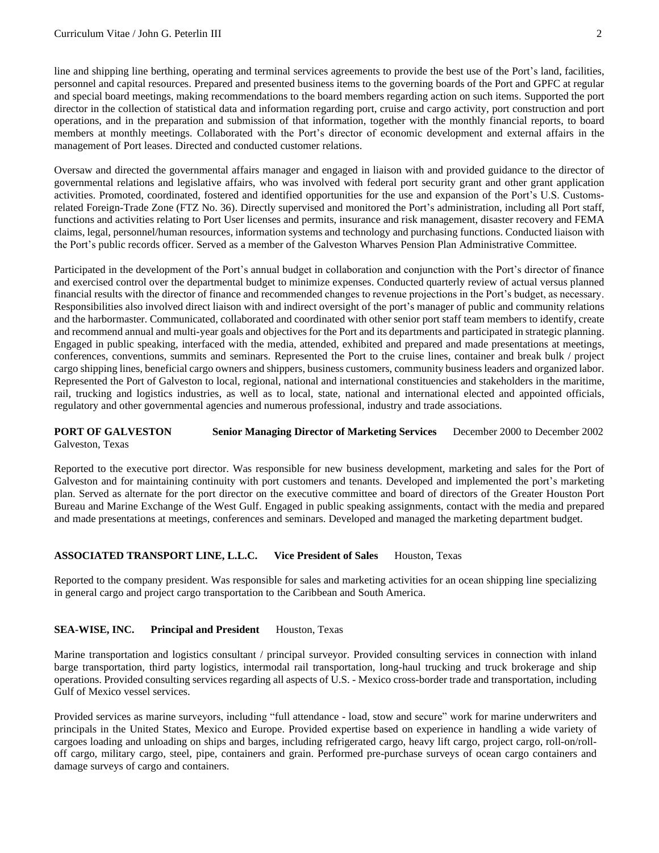line and shipping line berthing, operating and terminal services agreements to provide the best use of the Port's land, facilities, personnel and capital resources. Prepared and presented business items to the governing boards of the Port and GPFC at regular and special board meetings, making recommendations to the board members regarding action on such items. Supported the port director in the collection of statistical data and information regarding port, cruise and cargo activity, port construction and port operations, and in the preparation and submission of that information, together with the monthly financial reports, to board members at monthly meetings. Collaborated with the Port's director of economic development and external affairs in the management of Port leases. Directed and conducted customer relations.

Oversaw and directed the governmental affairs manager and engaged in liaison with and provided guidance to the director of governmental relations and legislative affairs, who was involved with federal port security grant and other grant application activities. Promoted, coordinated, fostered and identified opportunities for the use and expansion of the Port's U.S. Customsrelated Foreign-Trade Zone (FTZ No. 36). Directly supervised and monitored the Port's administration, including all Port staff, functions and activities relating to Port User licenses and permits, insurance and risk management, disaster recovery and FEMA claims, legal, personnel/human resources, information systems and technology and purchasing functions. Conducted liaison with the Port's public records officer. Served as a member of the Galveston Wharves Pension Plan Administrative Committee.

Participated in the development of the Port's annual budget in collaboration and conjunction with the Port's director of finance and exercised control over the departmental budget to minimize expenses. Conducted quarterly review of actual versus planned financial results with the director of finance and recommended changes to revenue projections in the Port's budget, as necessary. Responsibilities also involved direct liaison with and indirect oversight of the port's manager of public and community relations and the harbormaster. Communicated, collaborated and coordinated with other senior port staff team members to identify, create and recommend annual and multi-year goals and objectives for the Port and its departments and participated in strategic planning. Engaged in public speaking, interfaced with the media, attended, exhibited and prepared and made presentations at meetings, conferences, conventions, summits and seminars. Represented the Port to the cruise lines, container and break bulk / project cargo shipping lines, beneficial cargo owners and shippers, business customers, community business leaders and organized labor. Represented the Port of Galveston to local, regional, national and international constituencies and stakeholders in the maritime, rail, trucking and logistics industries, as well as to local, state, national and international elected and appointed officials, regulatory and other governmental agencies and numerous professional, industry and trade associations.

## **PORT OF GALVESTON Senior Managing Director of Marketing Services** December 2000 to December 2002 Galveston, Texas

Reported to the executive port director. Was responsible for new business development, marketing and sales for the Port of Galveston and for maintaining continuity with port customers and tenants. Developed and implemented the port's marketing plan. Served as alternate for the port director on the executive committee and board of directors of the Greater Houston Port Bureau and Marine Exchange of the West Gulf. Engaged in public speaking assignments, contact with the media and prepared and made presentations at meetings, conferences and seminars. Developed and managed the marketing department budget.

#### **ASSOCIATED TRANSPORT LINE, L.L.C. Vice President of Sales** Houston, Texas

Reported to the company president. Was responsible for sales and marketing activities for an ocean shipping line specializing in general cargo and project cargo transportation to the Caribbean and South America.

## **SEA-WISE, INC.** Principal and President **Houston, Texas**

Marine transportation and logistics consultant / principal surveyor. Provided consulting services in connection with inland barge transportation, third party logistics, intermodal rail transportation, long-haul trucking and truck brokerage and ship operations. Provided consulting services regarding all aspects of U.S. - Mexico cross-border trade and transportation, including Gulf of Mexico vessel services.

Provided services as marine surveyors, including "full attendance - load, stow and secure" work for marine underwriters and principals in the United States, Mexico and Europe. Provided expertise based on experience in handling a wide variety of cargoes loading and unloading on ships and barges, including refrigerated cargo, heavy lift cargo, project cargo, roll-on/rolloff cargo, military cargo, steel, pipe, containers and grain. Performed pre-purchase surveys of ocean cargo containers and damage surveys of cargo and containers.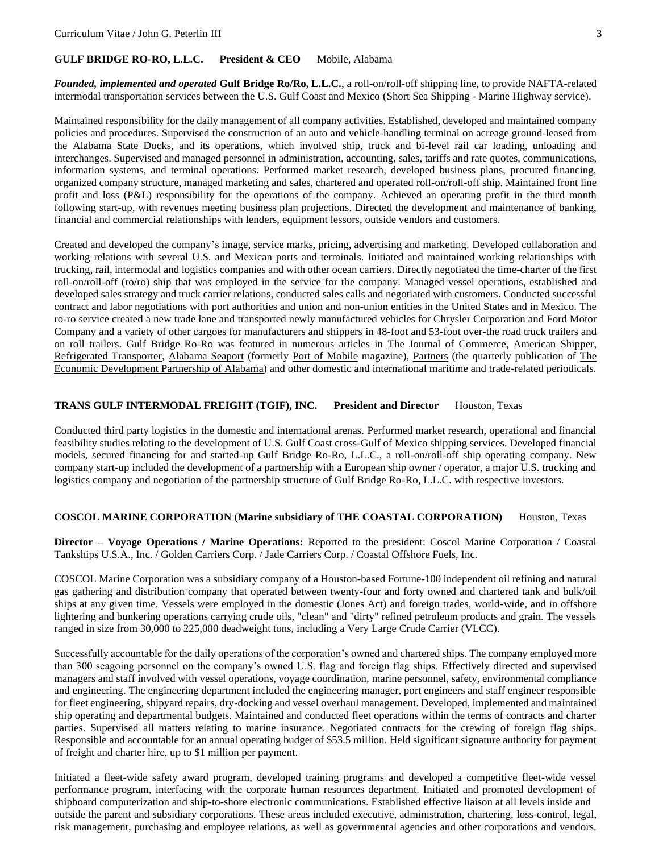#### **GULF BRIDGE RO-RO, L.L.C. President & CEO** Mobile, Alabama

*Founded, implemented and operated* **Gulf Bridge Ro/Ro, L.L.C.**, a roll-on/roll-off shipping line, to provide NAFTA-related intermodal transportation services between the U.S. Gulf Coast and Mexico (Short Sea Shipping - Marine Highway service).

Maintained responsibility for the daily management of all company activities. Established, developed and maintained company policies and procedures. Supervised the construction of an auto and vehicle-handling terminal on acreage ground-leased from the Alabama State Docks, and its operations, which involved ship, truck and bi-level rail car loading, unloading and interchanges. Supervised and managed personnel in administration, accounting, sales, tariffs and rate quotes, communications, information systems, and terminal operations. Performed market research, developed business plans, procured financing, organized company structure, managed marketing and sales, chartered and operated roll-on/roll-off ship. Maintained front line profit and loss (P&L) responsibility for the operations of the company. Achieved an operating profit in the third month following start-up, with revenues meeting business plan projections. Directed the development and maintenance of banking, financial and commercial relationships with lenders, equipment lessors, outside vendors and customers.

Created and developed the company's image, service marks, pricing, advertising and marketing. Developed collaboration and working relations with several U.S. and Mexican ports and terminals. Initiated and maintained working relationships with trucking, rail, intermodal and logistics companies and with other ocean carriers. Directly negotiated the time-charter of the first roll-on/roll-off (ro/ro) ship that was employed in the service for the company. Managed vessel operations, established and developed sales strategy and truck carrier relations, conducted sales calls and negotiated with customers. Conducted successful contract and labor negotiations with port authorities and union and non-union entities in the United States and in Mexico. The ro-ro service created a new trade lane and transported newly manufactured vehicles for Chrysler Corporation and Ford Motor Company and a variety of other cargoes for manufacturers and shippers in 48-foot and 53-foot over-the road truck trailers and on roll trailers. Gulf Bridge Ro-Ro was featured in numerous articles in The Journal of Commerce, American Shipper, Refrigerated Transporter, Alabama Seaport (formerly Port of Mobile magazine), Partners (the quarterly publication of The Economic Development Partnership of Alabama) and other domestic and international maritime and trade-related periodicals.

#### **TRANS GULF INTERMODAL FREIGHT (TGIF), INC. President and Director** Houston, Texas

Conducted third party logistics in the domestic and international arenas. Performed market research, operational and financial feasibility studies relating to the development of U.S. Gulf Coast cross-Gulf of Mexico shipping services. Developed financial models, secured financing for and started-up Gulf Bridge Ro-Ro, L.L.C., a roll-on/roll-off ship operating company. New company start-up included the development of a partnership with a European ship owner / operator, a major U.S. trucking and logistics company and negotiation of the partnership structure of Gulf Bridge Ro-Ro, L.L.C. with respective investors.

#### **COSCOL MARINE CORPORATION** (**Marine subsidiary of THE COASTAL CORPORATION)** Houston, Texas

**Director – Voyage Operations / Marine Operations:** Reported to the president: Coscol Marine Corporation / Coastal Tankships U.S.A., Inc. / Golden Carriers Corp. / Jade Carriers Corp. / Coastal Offshore Fuels, Inc.

COSCOL Marine Corporation was a subsidiary company of a Houston-based Fortune-100 independent oil refining and natural gas gathering and distribution company that operated between twenty-four and forty owned and chartered tank and bulk/oil ships at any given time. Vessels were employed in the domestic (Jones Act) and foreign trades, world-wide, and in offshore lightering and bunkering operations carrying crude oils, "clean" and "dirty" refined petroleum products and grain. The vessels ranged in size from 30,000 to 225,000 deadweight tons, including a Very Large Crude Carrier (VLCC).

Successfully accountable for the daily operations of the corporation's owned and chartered ships. The company employed more than 300 seagoing personnel on the company's owned U.S. flag and foreign flag ships. Effectively directed and supervised managers and staff involved with vessel operations, voyage coordination, marine personnel, safety, environmental compliance and engineering. The engineering department included the engineering manager, port engineers and staff engineer responsible for fleet engineering, shipyard repairs, dry-docking and vessel overhaul management. Developed, implemented and maintained ship operating and departmental budgets. Maintained and conducted fleet operations within the terms of contracts and charter parties. Supervised all matters relating to marine insurance. Negotiated contracts for the crewing of foreign flag ships. Responsible and accountable for an annual operating budget of \$53.5 million. Held significant signature authority for payment of freight and charter hire, up to \$1 million per payment.

Initiated a fleet-wide safety award program, developed training programs and developed a competitive fleet-wide vessel performance program, interfacing with the corporate human resources department. Initiated and promoted development of shipboard computerization and ship-to-shore electronic communications. Established effective liaison at all levels inside and outside the parent and subsidiary corporations. These areas included executive, administration, chartering, loss-control, legal, risk management, purchasing and employee relations, as well as governmental agencies and other corporations and vendors.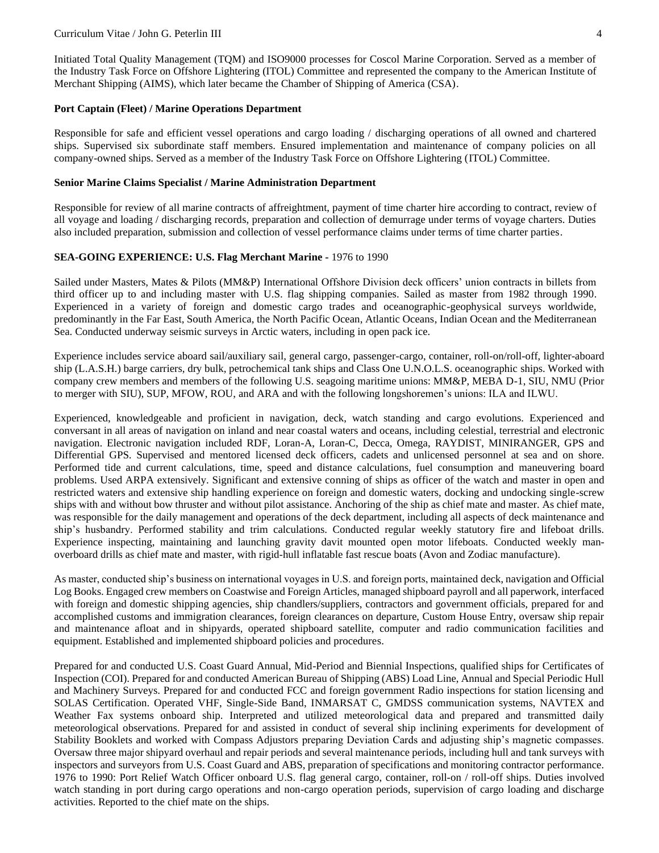Initiated Total Quality Management (TQM) and ISO9000 processes for Coscol Marine Corporation. Served as a member of the Industry Task Force on Offshore Lightering (ITOL) Committee and represented the company to the American Institute of Merchant Shipping (AIMS), which later became the Chamber of Shipping of America (CSA).

## **Port Captain (Fleet) / Marine Operations Department**

Responsible for safe and efficient vessel operations and cargo loading / discharging operations of all owned and chartered ships. Supervised six subordinate staff members. Ensured implementation and maintenance of company policies on all company-owned ships. Served as a member of the Industry Task Force on Offshore Lightering (ITOL) Committee.

## **Senior Marine Claims Specialist / Marine Administration Department**

Responsible for review of all marine contracts of affreightment, payment of time charter hire according to contract, review of all voyage and loading / discharging records, preparation and collection of demurrage under terms of voyage charters. Duties also included preparation, submission and collection of vessel performance claims under terms of time charter parties.

## **SEA-GOING EXPERIENCE: U.S. Flag Merchant Marine -** 1976 to 1990

Sailed under Masters, Mates & Pilots (MM&P) International Offshore Division deck officers' union contracts in billets from third officer up to and including master with U.S. flag shipping companies. Sailed as master from 1982 through 1990. Experienced in a variety of foreign and domestic cargo trades and oceanographic-geophysical surveys worldwide, predominantly in the Far East, South America, the North Pacific Ocean, Atlantic Oceans, Indian Ocean and the Mediterranean Sea. Conducted underway seismic surveys in Arctic waters, including in open pack ice.

Experience includes service aboard sail/auxiliary sail, general cargo, passenger-cargo, container, roll-on/roll-off, lighter-aboard ship (L.A.S.H.) barge carriers, dry bulk, petrochemical tank ships and Class One U.N.O.L.S. oceanographic ships. Worked with company crew members and members of the following U.S. seagoing maritime unions: MM&P, MEBA D-1, SIU, NMU (Prior to merger with SIU), SUP, MFOW, ROU, and ARA and with the following longshoremen's unions: ILA and ILWU.

Experienced, knowledgeable and proficient in navigation, deck, watch standing and cargo evolutions. Experienced and conversant in all areas of navigation on inland and near coastal waters and oceans, including celestial, terrestrial and electronic navigation. Electronic navigation included RDF, Loran-A, Loran-C, Decca, Omega, RAYDIST, MINIRANGER, GPS and Differential GPS. Supervised and mentored licensed deck officers, cadets and unlicensed personnel at sea and on shore. Performed tide and current calculations, time, speed and distance calculations, fuel consumption and maneuvering board problems. Used ARPA extensively. Significant and extensive conning of ships as officer of the watch and master in open and restricted waters and extensive ship handling experience on foreign and domestic waters, docking and undocking single-screw ships with and without bow thruster and without pilot assistance. Anchoring of the ship as chief mate and master. As chief mate, was responsible for the daily management and operations of the deck department, including all aspects of deck maintenance and ship's husbandry. Performed stability and trim calculations. Conducted regular weekly statutory fire and lifeboat drills. Experience inspecting, maintaining and launching gravity davit mounted open motor lifeboats. Conducted weekly manoverboard drills as chief mate and master, with rigid-hull inflatable fast rescue boats (Avon and Zodiac manufacture).

As master, conducted ship's business on international voyages in U.S. and foreign ports, maintained deck, navigation and Official Log Books. Engaged crew members on Coastwise and Foreign Articles, managed shipboard payroll and all paperwork, interfaced with foreign and domestic shipping agencies, ship chandlers/suppliers, contractors and government officials, prepared for and accomplished customs and immigration clearances, foreign clearances on departure, Custom House Entry, oversaw ship repair and maintenance afloat and in shipyards, operated shipboard satellite, computer and radio communication facilities and equipment. Established and implemented shipboard policies and procedures.

Prepared for and conducted U.S. Coast Guard Annual, Mid-Period and Biennial Inspections, qualified ships for Certificates of Inspection (COI). Prepared for and conducted American Bureau of Shipping (ABS) Load Line, Annual and Special Periodic Hull and Machinery Surveys. Prepared for and conducted FCC and foreign government Radio inspections for station licensing and SOLAS Certification. Operated VHF, Single-Side Band, INMARSAT C, GMDSS communication systems, NAVTEX and Weather Fax systems onboard ship. Interpreted and utilized meteorological data and prepared and transmitted daily meteorological observations. Prepared for and assisted in conduct of several ship inclining experiments for development of Stability Booklets and worked with Compass Adjustors preparing Deviation Cards and adjusting ship's magnetic compasses. Oversaw three major shipyard overhaul and repair periods and several maintenance periods, including hull and tank surveys with inspectors and surveyors from U.S. Coast Guard and ABS, preparation of specifications and monitoring contractor performance. 1976 to 1990: Port Relief Watch Officer onboard U.S. flag general cargo, container, roll-on / roll-off ships. Duties involved watch standing in port during cargo operations and non-cargo operation periods, supervision of cargo loading and discharge activities. Reported to the chief mate on the ships.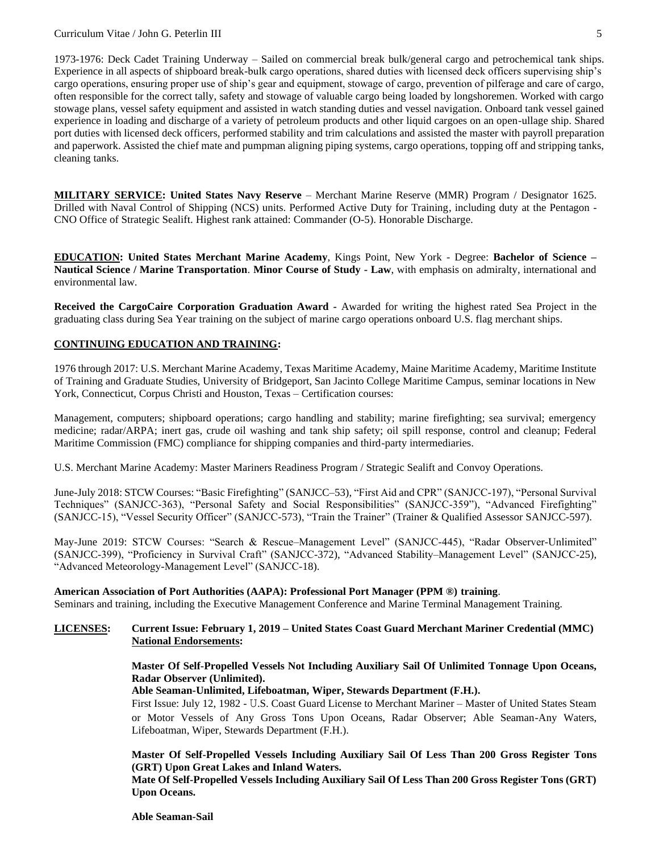1973-1976: Deck Cadet Training Underway – Sailed on commercial break bulk/general cargo and petrochemical tank ships. Experience in all aspects of shipboard break-bulk cargo operations, shared duties with licensed deck officers supervising ship's cargo operations, ensuring proper use of ship's gear and equipment, stowage of cargo, prevention of pilferage and care of cargo, often responsible for the correct tally, safety and stowage of valuable cargo being loaded by longshoremen. Worked with cargo stowage plans, vessel safety equipment and assisted in watch standing duties and vessel navigation. Onboard tank vessel gained experience in loading and discharge of a variety of petroleum products and other liquid cargoes on an open-ullage ship. Shared port duties with licensed deck officers, performed stability and trim calculations and assisted the master with payroll preparation and paperwork. Assisted the chief mate and pumpman aligning piping systems, cargo operations, topping off and stripping tanks, cleaning tanks.

**MILITARY SERVICE: United States Navy Reserve** – Merchant Marine Reserve (MMR) Program / Designator 1625. Drilled with Naval Control of Shipping (NCS) units. Performed Active Duty for Training, including duty at the Pentagon - CNO Office of Strategic Sealift. Highest rank attained: Commander (O-5). Honorable Discharge.

**EDUCATION: United States Merchant Marine Academy**, Kings Point, New York - Degree: **Bachelor of Science – Nautical Science / Marine Transportation**. **Minor Course of Study - Law**, with emphasis on admiralty, international and environmental law.

**Received the CargoCaire Corporation Graduation Award -** Awarded for writing the highest rated Sea Project in the graduating class during Sea Year training on the subject of marine cargo operations onboard U.S. flag merchant ships.

## **CONTINUING EDUCATION AND TRAINING:**

1976 through 2017: U.S. Merchant Marine Academy, Texas Maritime Academy, Maine Maritime Academy, Maritime Institute of Training and Graduate Studies, University of Bridgeport, San Jacinto College Maritime Campus, seminar locations in New York, Connecticut, Corpus Christi and Houston, Texas – Certification courses:

Management, computers; shipboard operations; cargo handling and stability; marine firefighting; sea survival; emergency medicine; radar/ARPA; inert gas, crude oil washing and tank ship safety; oil spill response, control and cleanup; Federal Maritime Commission (FMC) compliance for shipping companies and third-party intermediaries.

U.S. Merchant Marine Academy: Master Mariners Readiness Program / Strategic Sealift and Convoy Operations.

June-July 2018: STCW Courses: "Basic Firefighting" (SANJCC–53), "First Aid and CPR" (SANJCC-197), "Personal Survival Techniques" (SANJCC-363), "Personal Safety and Social Responsibilities" (SANJCC-359"), "Advanced Firefighting" (SANJCC-15), "Vessel Security Officer" (SANJCC-573), "Train the Trainer" (Trainer & Qualified Assessor SANJCC-597).

May-June 2019: STCW Courses: "Search & Rescue–Management Level" (SANJCC-445), "Radar Observer-Unlimited" (SANJCC-399), "Proficiency in Survival Craft" (SANJCC-372), "Advanced Stability–Management Level" (SANJCC-25), "Advanced Meteorology-Management Level" (SANJCC-18).

## **American Association of Port Authorities (AAPA): Professional Port Manager (PPM ®) training**.

Seminars and training, including the Executive Management Conference and Marine Terminal Management Training.

## **LICENSES: Current Issue: February 1, 2019 – United States Coast Guard Merchant Mariner Credential (MMC) National Endorsements:**

## **Master Of Self-Propelled Vessels Not Including Auxiliary Sail Of Unlimited Tonnage Upon Oceans, Radar Observer (Unlimited).**

## **Able Seaman-Unlimited, Lifeboatman, Wiper, Stewards Department (F.H.).**

First Issue: July 12, 1982 - U.S. Coast Guard License to Merchant Mariner – Master of United States Steam or Motor Vessels of Any Gross Tons Upon Oceans, Radar Observer; Able Seaman-Any Waters, Lifeboatman, Wiper, Stewards Department (F.H.).

## **Master Of Self-Propelled Vessels Including Auxiliary Sail Of Less Than 200 Gross Register Tons (GRT) Upon Great Lakes and Inland Waters.**

**Mate Of Self-Propelled Vessels Including Auxiliary Sail Of Less Than 200 Gross Register Tons (GRT) Upon Oceans.**

**Able Seaman-Sail**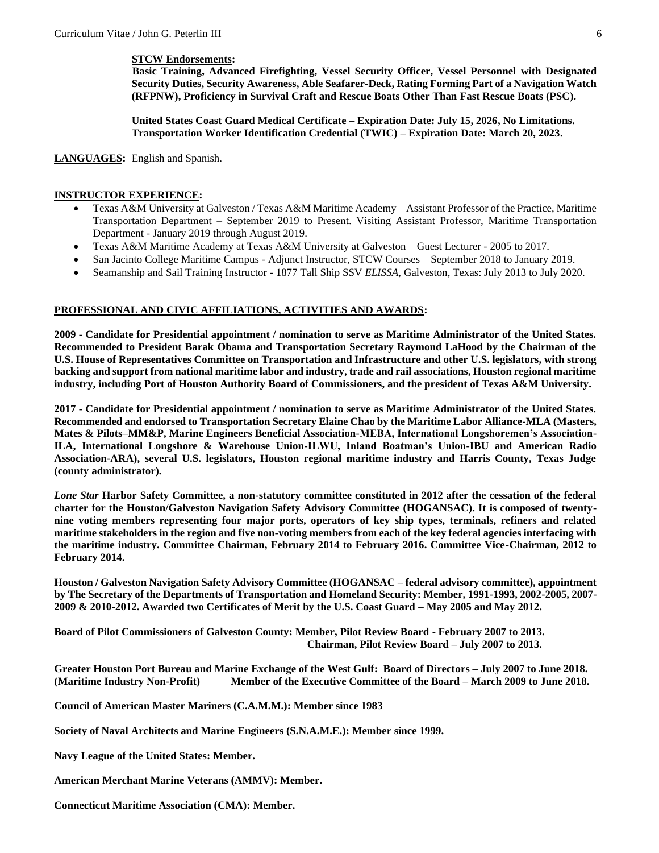## **STCW Endorsements:**

 **Basic Training, Advanced Firefighting, Vessel Security Officer, Vessel Personnel with Designated Security Duties, Security Awareness, Able Seafarer-Deck, Rating Forming Part of a Navigation Watch (RFPNW), Proficiency in Survival Craft and Rescue Boats Other Than Fast Rescue Boats (PSC).**

**United States Coast Guard Medical Certificate – Expiration Date: July 15, 2026, No Limitations. Transportation Worker Identification Credential (TWIC) – Expiration Date: March 20, 2023.**

## **LANGUAGES:** English and Spanish.

## **INSTRUCTOR EXPERIENCE:**

- Texas A&M University at Galveston / Texas A&M Maritime Academy Assistant Professor of the Practice, Maritime Transportation Department – September 2019 to Present. Visiting Assistant Professor, Maritime Transportation Department - January 2019 through August 2019.
- Texas A&M Maritime Academy at Texas A&M University at Galveston Guest Lecturer 2005 to 2017.
- San Jacinto College Maritime Campus Adjunct Instructor, STCW Courses September 2018 to January 2019.
- Seamanship and Sail Training Instructor 1877 Tall Ship SSV *ELISSA*, Galveston, Texas: July 2013 to July 2020.

## **PROFESSIONAL AND CIVIC AFFILIATIONS, ACTIVITIES AND AWARDS:**

**2009 - Candidate for Presidential appointment / nomination to serve as Maritime Administrator of the United States. Recommended to President Barak Obama and Transportation Secretary Raymond LaHood by the Chairman of the U.S. House of Representatives Committee on Transportation and Infrastructure and other U.S. legislators, with strong backing and support from national maritime labor and industry, trade and rail associations, Houston regional maritime industry, including Port of Houston Authority Board of Commissioners, and the president of Texas A&M University.** 

**2017 - Candidate for Presidential appointment / nomination to serve as Maritime Administrator of the United States. Recommended and endorsed to Transportation Secretary Elaine Chao by the Maritime Labor Alliance-MLA (Masters, Mates & Pilots–MM&P, Marine Engineers Beneficial Association-MEBA, International Longshoremen's Association-ILA, International Longshore & Warehouse Union-ILWU, Inland Boatman's Union-IBU and American Radio Association-ARA), several U.S. legislators, Houston regional maritime industry and Harris County, Texas Judge (county administrator).** 

*Lone Star* **Harbor Safety Committee, a non-statutory committee constituted in 2012 after the cessation of the federal charter for the Houston/Galveston Navigation Safety Advisory Committee (HOGANSAC). It is composed of twentynine voting members representing four major ports, operators of key ship types, terminals, refiners and related maritime stakeholders in the region and five non-voting members from each of the key federal agencies interfacing with the maritime industry. Committee Chairman, February 2014 to February 2016. Committee Vice-Chairman, 2012 to February 2014.**

**Houston / Galveston Navigation Safety Advisory Committee (HOGANSAC – federal advisory committee), appointment by The Secretary of the Departments of Transportation and Homeland Security: Member, 1991-1993, 2002-2005, 2007- 2009 & 2010-2012. Awarded two Certificates of Merit by the U.S. Coast Guard – May 2005 and May 2012.**

**Board of Pilot Commissioners of Galveston County: Member, Pilot Review Board - February 2007 to 2013. Chairman, Pilot Review Board – July 2007 to 2013.**

**Greater Houston Port Bureau and Marine Exchange of the West Gulf: Board of Directors – July 2007 to June 2018. (Maritime Industry Non-Profit) Member of the Executive Committee of the Board – March 2009 to June 2018.**

**Council of American Master Mariners (C.A.M.M.): Member since 1983**

**Society of Naval Architects and Marine Engineers (S.N.A.M.E.): Member since 1999.**

**Navy League of the United States: Member.**

**American Merchant Marine Veterans (AMMV): Member.**

**Connecticut Maritime Association (CMA): Member.**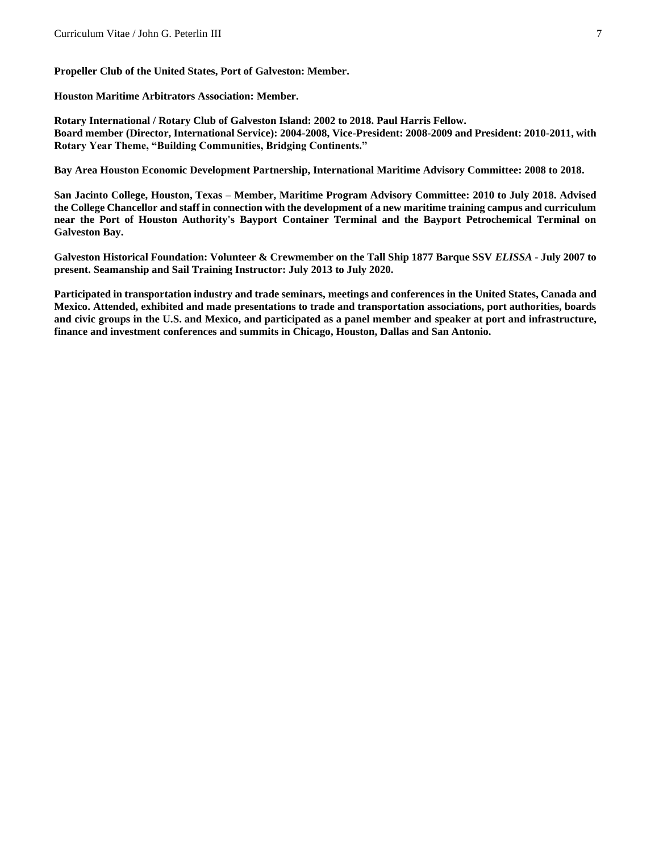**Propeller Club of the United States, Port of Galveston: Member.**

**Houston Maritime Arbitrators Association: Member.**

**Rotary International / Rotary Club of Galveston Island: 2002 to 2018. Paul Harris Fellow. Board member (Director, International Service): 2004-2008, Vice-President: 2008-2009 and President: 2010-2011, with Rotary Year Theme, "Building Communities, Bridging Continents."**

**Bay Area Houston Economic Development Partnership, International Maritime Advisory Committee: 2008 to 2018.**

**San Jacinto College, Houston, Texas – Member, Maritime Program Advisory Committee: 2010 to July 2018. Advised the College Chancellor and staff in connection with the development of a new maritime training campus and curriculum near the Port of Houston Authority's Bayport Container Terminal and the Bayport Petrochemical Terminal on Galveston Bay.**

**Galveston Historical Foundation: Volunteer & Crewmember on the Tall Ship 1877 Barque SSV** *ELISSA* **- July 2007 to present. Seamanship and Sail Training Instructor: July 2013 to July 2020.** 

**Participated in transportation industry and trade seminars, meetings and conferences in the United States, Canada and Mexico. Attended, exhibited and made presentations to trade and transportation associations, port authorities, boards and civic groups in the U.S. and Mexico, and participated as a panel member and speaker at port and infrastructure, finance and investment conferences and summits in Chicago, Houston, Dallas and San Antonio.**